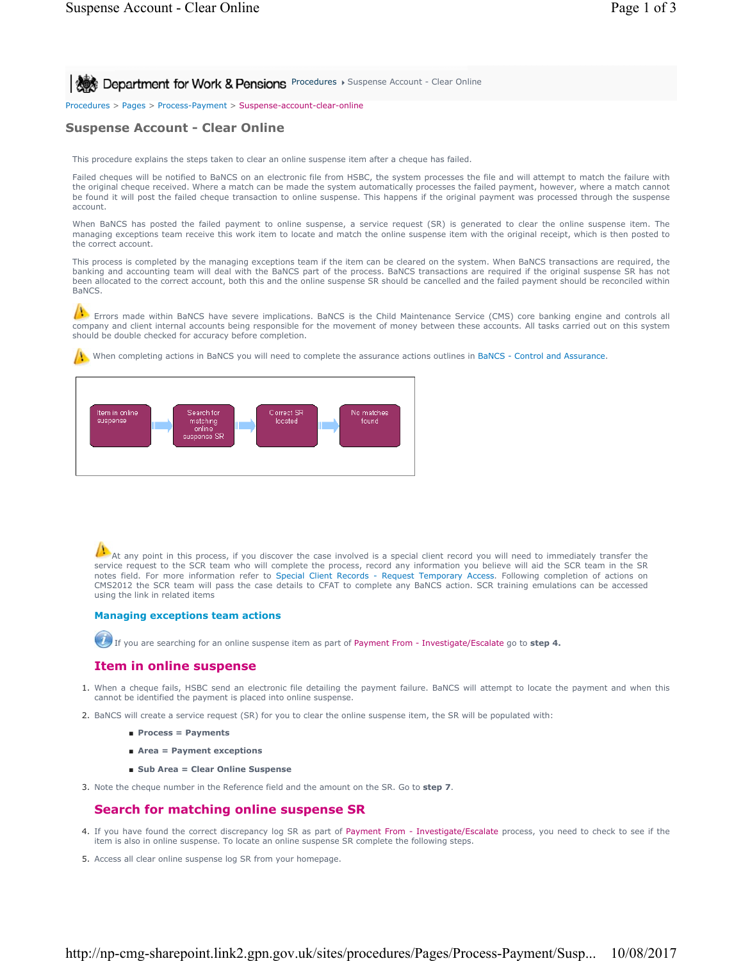**Procedures > Suspense Account - Clear Online** 

Procedures > Pages > Process-Payment > Suspense-account-clear-online

# **Suspense Account - Clear Online**

This procedure explains the steps taken to clear an online suspense item after a cheque has failed.

Failed cheques will be notified to BaNCS on an electronic file from HSBC, the system processes the file and will attempt to match the failure with the original cheque received. Where a match can be made the system automatically processes the failed payment, however, where a match cannot be found it will post the failed cheque transaction to online suspense. This happens if the original payment was processed through the suspense account.

When BaNCS has posted the failed payment to online suspense, a service request (SR) is generated to clear the online suspense item. The managing exceptions team receive this work item to locate and match the online suspense item with the original receipt, which is then posted to the correct account.

This process is completed by the managing exceptions team if the item can be cleared on the system. When BaNCS transactions are required, the banking and accounting team will deal with the BaNCS part of the process. BaNCS transactions are required if the original suspense SR has not been allocated to the correct account, both this and the online suspense SR should be cancelled and the failed payment should be reconciled within BaNCS.

Errors made within BaNCS have severe implications. BaNCS is the Child Maintenance Service (CMS) core banking engine and controls all company and client internal accounts being responsible for the movement of money between these accounts. All tasks carried out on this system should be double checked for accuracy before completion.

When completing actions in BaNCS you will need to complete the assurance actions outlines in BaNCS - Control and Assurance.



At any point in this process, if you discover the case involved is a special client record you will need to immediately transfer the  $\Omega$ service request to the SCR team who will complete the process, record any information you believe will aid the SCR team in the SR notes field. For more information refer to Special Client Records - Request Temporary Access. Following completion of actions on CMS2012 the SCR team will pass the case details to CFAT to complete any BaNCS action. SCR training emulations can be accessed using the link in related items

#### **Managing exceptions team actions**

If you are searching for an online suspense item as part of Payment From - Investigate/Escalate go to **step 4.**

### **Item in online suspense**

- 1. When a cheque fails, HSBC send an electronic file detailing the payment failure. BaNCS will attempt to locate the payment and when this cannot be identified the payment is placed into online suspense.
- 2. BaNCS will create a service request (SR) for you to clear the online suspense item, the SR will be populated with:
	- **Process = Payments**
	- **Area = Payment exceptions**
	- **Sub Area = Clear Online Suspense**
- 3. Note the cheque number in the Reference field and the amount on the SR. Go to **step 7**.

### **Search for matching online suspense SR**

- 4. If you have found the correct discrepancy log SR as part of Payment From Investigate/Escalate process, you need to check to see if the item is also in online suspense. To locate an online suspense SR complete the following steps.
- 5. Access all clear online suspense log SR from your homepage.

### http://np-cmg-sharepoint.link2.gpn.gov.uk/sites/procedures/Pages/Process-Payment/Susp... 10/08/2017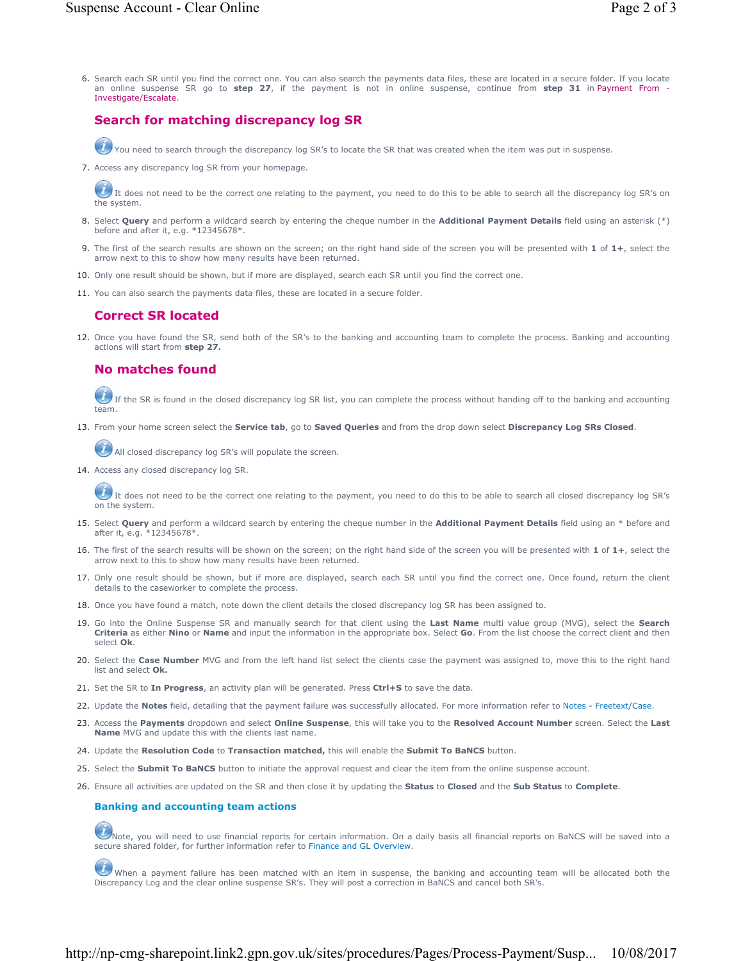Search each SR until you find the correct one. You can also search the payments data files, these are located in a secure folder. If you locate 6. an online suspense SR go to **step 27**, if the payment is not in online suspense, continue from **step 31** in Payment From - Investigate/Escalate.

## **Search for matching discrepancy log SR**

 $U$  You need to search through the discrepancy log SR's to locate the SR that was created when the item was put in suspense.

7. Access any discrepancy log SR from your homepage.

 $U$  It does not need to be the correct one relating to the payment, you need to do this to be able to search all the discrepancy log SR's on the system.

- 8. Select **Query** and perform a wildcard search by entering the cheque number in the **Additional Payment Details** field using an asterisk (\*) before and after it, e.g. \*12345678\*.
- The first of the search results are shown on the screen; on the right hand side of the screen you will be presented with **1** of **1+**, select the 9. arrow next to this to show how many results have been returned.
- 10. Only one result should be shown, but if more are displayed, search each SR until you find the correct one.
- 11. You can also search the payments data files, these are located in a secure folder.

#### **Correct SR located**

12. Once you have found the SR, send both of the SR's to the banking and accounting team to complete the process. Banking and accounting actions will start from **step 27.**

### **No matches found**

If the SR is found in the closed discrepancy log SR list, you can complete the process without handing off to the banking and accounting team.

13. From your home screen select the **Service tab**, go to **Saved Queries** and from the drop down select **Discrepancy Log SRs Closed**.

All closed discrepancy log SR's will populate the screen.

14. Access any closed discrepancy log SR.

 $U$  It does not need to be the correct one relating to the payment, you need to do this to be able to search all closed discrepancy log SR's on the system.

- 15. Select Query and perform a wildcard search by entering the cheque number in the Additional Payment Details field using an \* before and after it, e.g. \*12345678\*.
- 16. The first of the search results will be shown on the screen; on the right hand side of the screen you will be presented with 1 of 1+, select the arrow next to this to show how many results have been returned.
- 17. Only one result should be shown, but if more are displayed, search each SR until you find the correct one. Once found, return the client details to the caseworker to complete the process.
- 18. Once you have found a match, note down the client details the closed discrepancy log SR has been assigned to.
- 19. Go into the Online Suspense SR and manually search for that client using the Last Name multi value group (MVG), select the Search **Criteria** as either **Nino** or **Name** and input the information in the appropriate box. Select **Go**. From the list choose the correct client and then select **Ok**.
- 20. Select the **Case Number** MVG and from the left hand list select the clients case the payment was assigned to, move this to the right hand list and select **Ok.**
- 21. Set the SR to **In Progress**, an activity plan will be generated. Press **Ctrl+S** to save the data.
- 22. Update the **Notes** field, detailing that the payment failure was successfully allocated. For more information refer to Notes Freetext/Case.
- 23. Access the Payments dropdown and select Online Suspense, this will take you to the Resolved Account Number screen. Select the Last **Name** MVG and update this with the clients last name.
- 24. Update the **Resolution Code** to **Transaction matched,** this will enable the **Submit To BaNCS** button.
- 25. Select the **Submit To BaNCS** button to initiate the approval request and clear the item from the online suspense account.
- 26. Ensure all activities are updated on the SR and then close it by updating the **Status** to **Closed** and the **Sub Status** to **Complete**.

#### **Banking and accounting team actions**

 $U$ Note, you will need to use financial reports for certain information. On a daily basis all financial reports on BaNCS will be saved into a secure shared folder, for further information refer to Finance and GL Overview.

When a payment failure has been matched with an item in suspense, the banking and accounting team will be allocated both the Discrepancy Log and the clear online suspense SR's. They will post a correction in BaNCS and cancel both SR's.